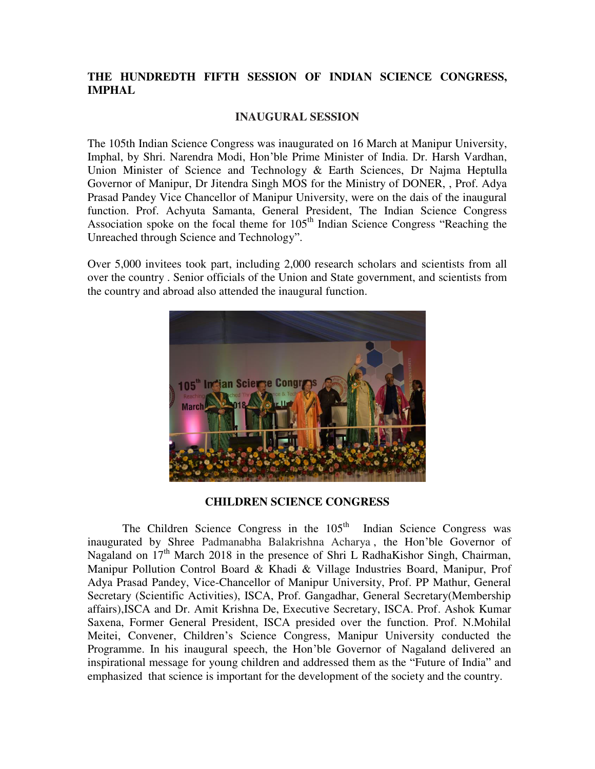## **THE HUNDREDTH FIFTH SESSION OF INDIAN SCIENCE CONGRESS, IMPHAL**

### **INAUGURAL SESSION**

The 105th Indian Science Congress was inaugurated on 16 March at Manipur University, Imphal, by Shri. Narendra Modi, Hon'ble Prime Minister of India. Dr. Harsh Vardhan, Union Minister of Science and Technology & Earth Sciences, Dr Najma Heptulla Governor of Manipur, Dr Jitendra Singh MOS for the Ministry of DONER, , Prof. Adya Prasad Pandey Vice Chancellor of Manipur University, were on the dais of the inaugural function. Prof. Achyuta Samanta, General President, The Indian Science Congress Association spoke on the focal theme for  $105<sup>th</sup>$  Indian Science Congress "Reaching the Unreached through Science and Technology".

Over 5,000 invitees took part, including 2,000 research scholars and scientists from all over the country . Senior officials of the Union and State government, and scientists from the country and abroad also attended the inaugural function.



#### **CHILDREN SCIENCE CONGRESS**

The Children Science Congress in the 105<sup>th</sup> Indian Science Congress was inaugurated by Shree Padmanabha Balakrishna Acharya , the Hon'ble Governor of Nagaland on  $17<sup>th</sup>$  March 2018 in the presence of Shri L RadhaKishor Singh, Chairman, Manipur Pollution Control Board & Khadi & Village Industries Board, Manipur, Prof Adya Prasad Pandey, Vice-Chancellor of Manipur University, Prof. PP Mathur, General Secretary (Scientific Activities), ISCA, Prof. Gangadhar, General Secretary(Membership affairs),ISCA and Dr. Amit Krishna De, Executive Secretary, ISCA. Prof. Ashok Kumar Saxena, Former General President, ISCA presided over the function. Prof. N.Mohilal Meitei, Convener, Children's Science Congress, Manipur University conducted the Programme. In his inaugural speech, the Hon'ble Governor of Nagaland delivered an inspirational message for young children and addressed them as the "Future of India" and emphasized that science is important for the development of the society and the country.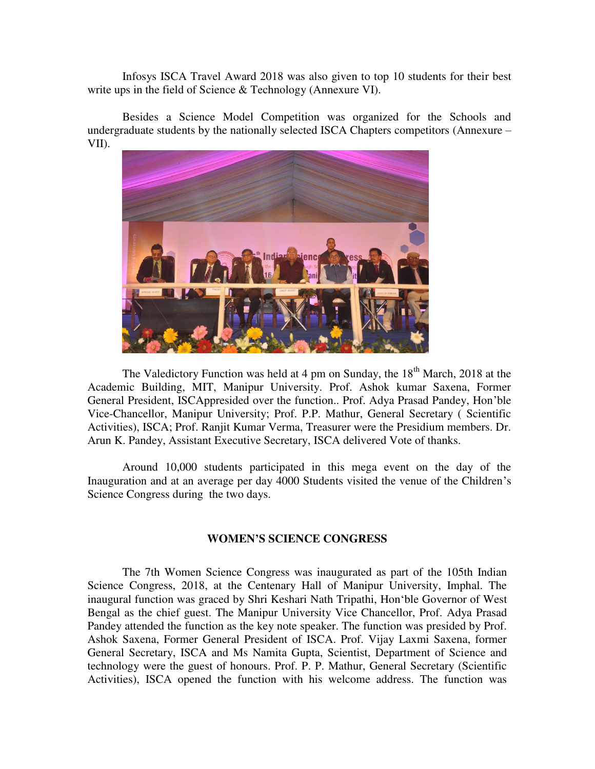Infosys ISCA Travel Award 2018 was also given to top 10 students for their best write ups in the field of Science & Technology (Annexure VI).

Besides a Science Model Competition was organized for the Schools and undergraduate students by the nationally selected ISCA Chapters competitors (Annexure – VII).



The Valedictory Function was held at 4 pm on Sunday, the  $18<sup>th</sup>$  March, 2018 at the Academic Building, MIT, Manipur University. Prof. Ashok kumar Saxena, Former General President, ISCAppresided over the function.. Prof. Adya Prasad Pandey, Hon'ble Vice-Chancellor, Manipur University; Prof. P.P. Mathur, General Secretary ( Scientific Activities), ISCA; Prof. Ranjit Kumar Verma, Treasurer were the Presidium members. Dr. Arun K. Pandey, Assistant Executive Secretary, ISCA delivered Vote of thanks.

Around 10,000 students participated in this mega event on the day of the Inauguration and at an average per day 4000 Students visited the venue of the Children's Science Congress during the two days.

#### **WOMEN'S SCIENCE CONGRESS**

The 7th Women Science Congress was inaugurated as part of the 105th Indian Science Congress, 2018, at the Centenary Hall of Manipur University, Imphal. The inaugural function was graced by Shri Keshari Nath Tripathi, Hon'ble Governor of West Bengal as the chief guest. The Manipur University Vice Chancellor, Prof. Adya Prasad Pandey attended the function as the key note speaker. The function was presided by Prof. Ashok Saxena, Former General President of ISCA. Prof. Vijay Laxmi Saxena, former General Secretary, ISCA and Ms Namita Gupta, Scientist, Department of Science and technology were the guest of honours. Prof. P. P. Mathur, General Secretary (Scientific Activities), ISCA opened the function with his welcome address. The function was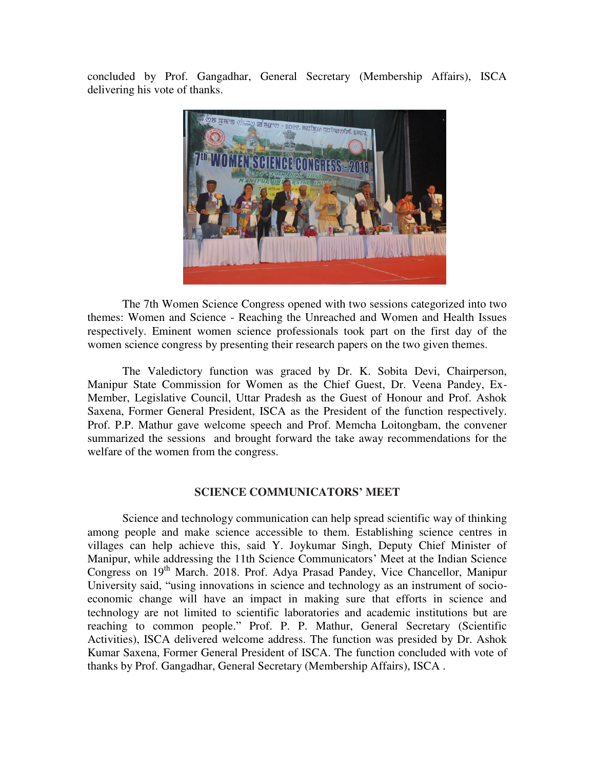concluded by Prof. Gangadhar, General Secretary (Membership Affairs), ISCA delivering his vote of thanks.



The 7th Women Science Congress opened with two sessions categorized into two themes: Women and Science - Reaching the Unreached and Women and Health Issues respectively. Eminent women science professionals took part on the first day of the women science congress by presenting their research papers on the two given themes.

The Valedictory function was graced by Dr. K. Sobita Devi, Chairperson, Manipur State Commission for Women as the Chief Guest, Dr. Veena Pandey, Ex-Member, Legislative Council, Uttar Pradesh as the Guest of Honour and Prof. Ashok Saxena, Former General President, ISCA as the President of the function respectively. Prof. P.P. Mathur gave welcome speech and Prof. Memcha Loitongbam, the convener summarized the sessions and brought forward the take away recommendations for the welfare of the women from the congress.

#### **SCIENCE COMMUNICATORS' MEET**

Science and technology communication can help spread scientific way of thinking among people and make science accessible to them. Establishing science centres in villages can help achieve this, said Y. Joykumar Singh, Deputy Chief Minister of Manipur, while addressing the 11th Science Communicators' Meet at the Indian Science Congress on 19<sup>th</sup> March. 2018. Prof. Adya Prasad Pandey, Vice Chancellor, Manipur University said, "using innovations in science and technology as an instrument of socioeconomic change will have an impact in making sure that efforts in science and technology are not limited to scientific laboratories and academic institutions but are reaching to common people." Prof. P. P. Mathur, General Secretary (Scientific Activities), ISCA delivered welcome address. The function was presided by Dr. Ashok Kumar Saxena, Former General President of ISCA. The function concluded with vote of thanks by Prof. Gangadhar, General Secretary (Membership Affairs), ISCA .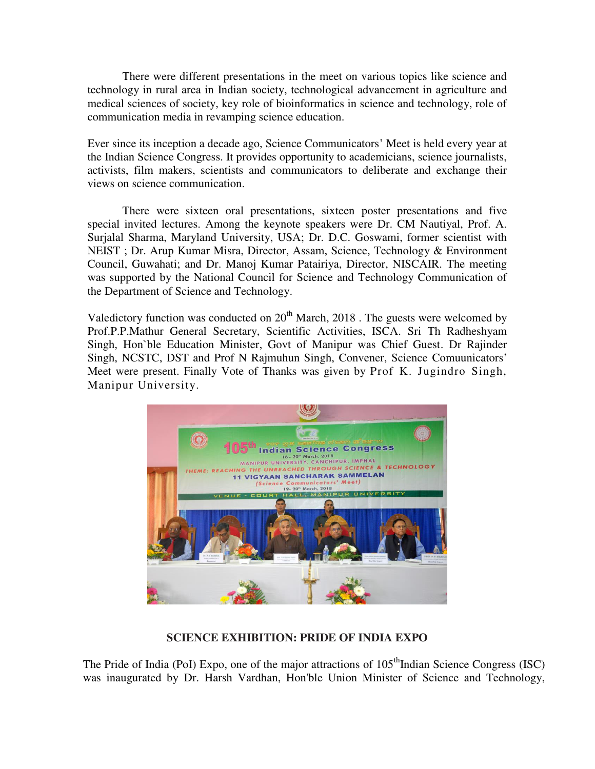There were different presentations in the meet on various topics like science and technology in rural area in Indian society, technological advancement in agriculture and medical sciences of society, key role of bioinformatics in science and technology, role of communication media in revamping science education.

Ever since its inception a decade ago, Science Communicators' Meet is held every year at the Indian Science Congress. It provides opportunity to academicians, science journalists, activists, film makers, scientists and communicators to deliberate and exchange their views on science communication.

There were sixteen oral presentations, sixteen poster presentations and five special invited lectures. Among the keynote speakers were Dr. CM Nautiyal, Prof. A. Surjalal Sharma, Maryland University, USA; Dr. D.C. Goswami, former scientist with NEIST ; Dr. Arup Kumar Misra, Director, Assam, Science, Technology & Environment Council, Guwahati; and Dr. Manoj Kumar Patairiya, Director, NISCAIR. The meeting was supported by the National Council for Science and Technology Communication of the Department of Science and Technology.

Valedictory function was conducted on  $20<sup>th</sup>$  March, 2018. The guests were welcomed by Prof.P.P.Mathur General Secretary, Scientific Activities, ISCA. Sri Th Radheshyam Singh, Hon`ble Education Minister, Govt of Manipur was Chief Guest. Dr Rajinder Singh, NCSTC, DST and Prof N Rajmuhun Singh, Convener, Science Comuunicators' Meet were present. Finally Vote of Thanks was given by Prof K. Jugindro Singh, Manipur University.



#### **SCIENCE EXHIBITION: PRIDE OF INDIA EXPO**

The Pride of India (PoI) Expo, one of the major attractions of  $105<sup>th</sup>$ Indian Science Congress (ISC) was inaugurated by Dr. Harsh Vardhan, Hon'ble Union Minister of Science and Technology,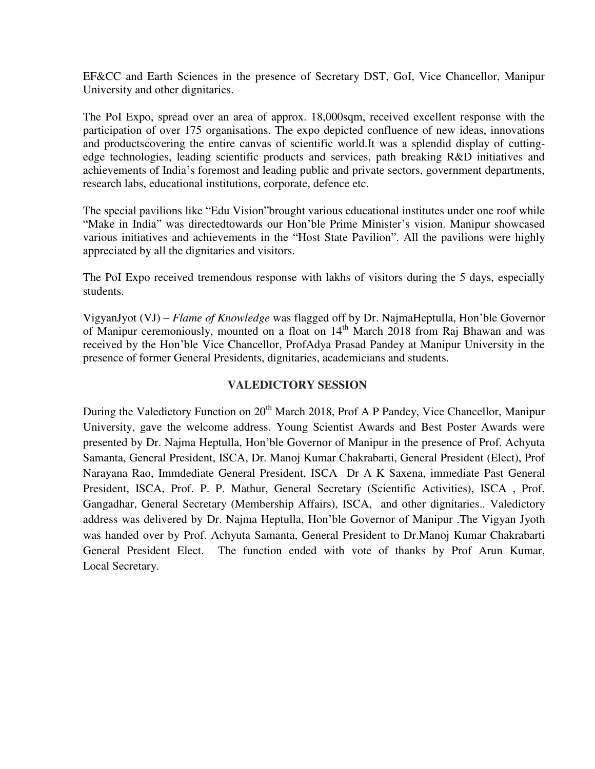EF&CC and Earth Sciences in the presence of Secretary DST, GoI, Vice Chancellor, Manipur University and other dignitaries.

The PoI Expo, spread over an area of approx. 18,000sqm, received excellent response with the participation of over 175 organisations. The expo depicted confluence of new ideas, innovations and productscovering the entire canvas of scientific world.It was a splendid display of cuttingedge technologies, leading scientific products and services, path breaking R&D initiatives and achievements of India's foremost and leading public and private sectors, government departments, research labs, educational institutions, corporate, defence etc.

The special pavilions like "Edu Vision"brought various educational institutes under one roof while "Make in India" was directedtowards our Hon'ble Prime Minister's vision. Manipur showcased various initiatives and achievements in the "Host State Pavilion". All the pavilions were highly appreciated by all the dignitaries and visitors.

The PoI Expo received tremendous response with lakhs of visitors during the 5 days, especially students.

VigyanJyot (VJ) – *Flame of Knowledge* was flagged off by Dr. NajmaHeptulla, Hon'ble Governor of Manipur ceremoniously, mounted on a float on 14<sup>th</sup> March 2018 from Raj Bhawan and was received by the Hon'ble Vice Chancellor, ProfAdya Prasad Pandey at Manipur University in the presence of former General Presidents, dignitaries, academicians and students.

## **VALEDICTORY SESSION**

During the Valedictory Function on 20<sup>th</sup> March 2018, Prof A P Pandey, Vice Chancellor, Manipur University, gave the welcome address. Young Scientist Awards and Best Poster Awards were presented by Dr. Najma Heptulla, Hon'ble Governor of Manipur in the presence of Prof. Achyuta Samanta, General President, ISCA, Dr. Manoj Kumar Chakrabarti, General President (Elect), Prof Narayana Rao, Immdediate General President, ISCA Dr A K Saxena, immediate Past General President, ISCA, Prof. P. P. Mathur, General Secretary (Scientific Activities), ISCA , Prof. Gangadhar, General Secretary (Membership Affairs), ISCA, and other dignitaries.. Valedictory address was delivered by Dr. Najma Heptulla, Hon'ble Governor of Manipur .The Vigyan Jyoth was handed over by Prof. Achyuta Samanta, General President to Dr.Manoj Kumar Chakrabarti General President Elect. The function ended with vote of thanks by Prof Arun Kumar, Local Secretary.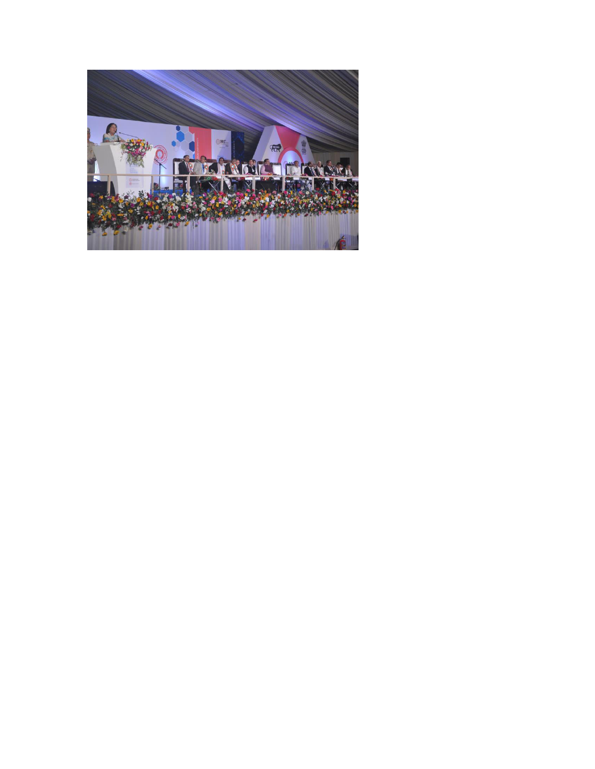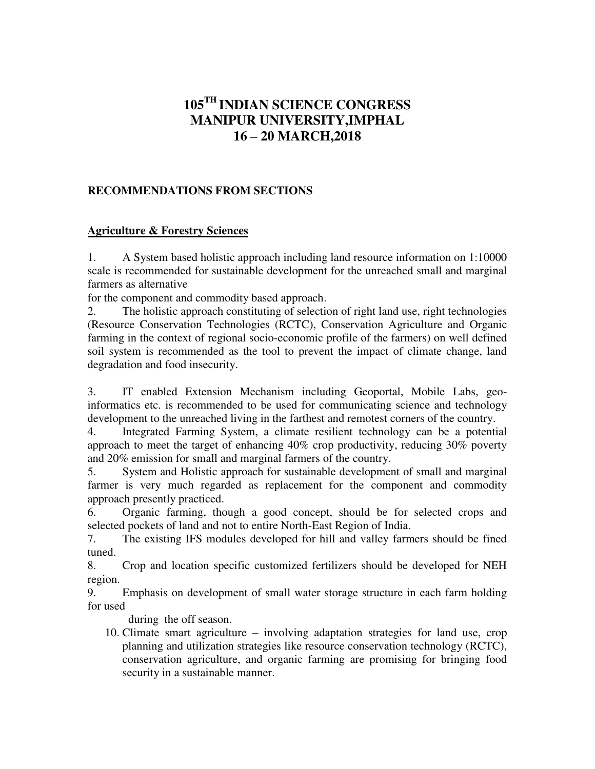# **105TH INDIAN SCIENCE CONGRESS MANIPUR UNIVERSITY,IMPHAL 16 – 20 MARCH,2018**

## **RECOMMENDATIONS FROM SECTIONS**

### **Agriculture & Forestry Sciences**

1. A System based holistic approach including land resource information on 1:10000 scale is recommended for sustainable development for the unreached small and marginal farmers as alternative

for the component and commodity based approach.

2. The holistic approach constituting of selection of right land use, right technologies (Resource Conservation Technologies (RCTC), Conservation Agriculture and Organic farming in the context of regional socio-economic profile of the farmers) on well defined soil system is recommended as the tool to prevent the impact of climate change, land degradation and food insecurity.

3. IT enabled Extension Mechanism including Geoportal, Mobile Labs, geoinformatics etc. is recommended to be used for communicating science and technology development to the unreached living in the farthest and remotest corners of the country.

4. Integrated Farming System, a climate resilient technology can be a potential approach to meet the target of enhancing 40% crop productivity, reducing 30% poverty and 20% emission for small and marginal farmers of the country.

5. System and Holistic approach for sustainable development of small and marginal farmer is very much regarded as replacement for the component and commodity approach presently practiced.

6. Organic farming, though a good concept, should be for selected crops and selected pockets of land and not to entire North-East Region of India.

7. The existing IFS modules developed for hill and valley farmers should be fined tuned.

8. Crop and location specific customized fertilizers should be developed for NEH region.

9. Emphasis on development of small water storage structure in each farm holding for used

during the off season.

10. Climate smart agriculture – involving adaptation strategies for land use, crop planning and utilization strategies like resource conservation technology (RCTC), conservation agriculture, and organic farming are promising for bringing food security in a sustainable manner.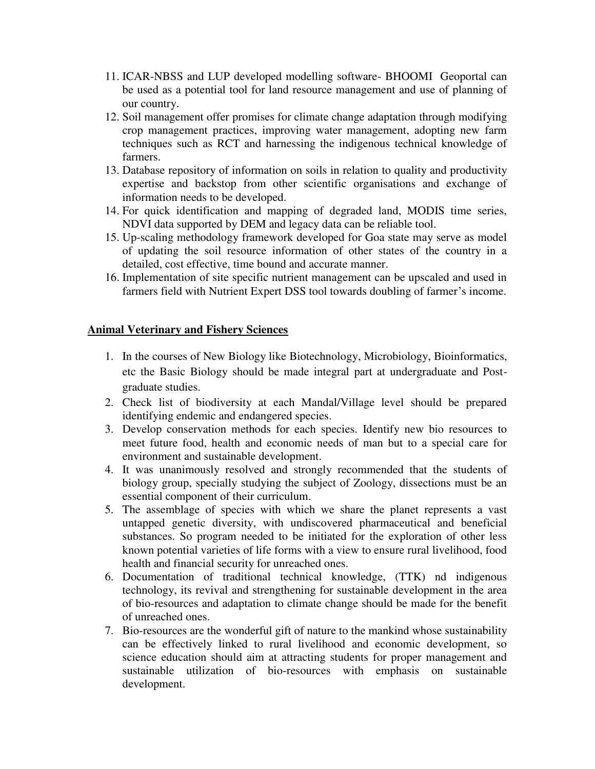- 11. ICAR-NBSS and LUP developed modelling software- BHOOMI Geoportal can be used as a potential tool for land resource management and use of planning of our country.
- 12. Soil management offer promises for climate change adaptation through modifying crop management practices, improving water management, adopting new farm techniques such as RCT and harnessing the indigenous technical knowledge of farmers.
- 13. Database repository of information on soils in relation to quality and productivity expertise and backstop from other scientific organisations and exchange of information needs to be developed.
- 14. For quick identification and mapping of degraded land, MODIS time series, NDVI data supported by DEM and legacy data can be reliable tool.
- 15. Up-scaling methodology framework developed for Goa state may serve as model of updating the soil resource information of other states of the country in a detailed, cost effective, time bound and accurate manner.
- 16. Implementation of site specific nutrient management can be upscaled and used in farmers field with Nutrient Expert DSS tool towards doubling of farmer's income.

### **Animal Veterinary and Fishery Sciences**

- 1. In the courses of New Biology like Biotechnology, Microbiology, Bioinformatics, etc the Basic Biology should be made integral part at undergraduate and Postgraduate studies.
- 2. Check list of biodiversity at each Mandal/Village level should be prepared identifying endemic and endangered species.
- 3. Develop conservation methods for each species. Identify new bio resources to meet future food, health and economic needs of man but to a special care for environment and sustainable development.
- 4. It was unanimously resolved and strongly recommended that the students of biology group, specially studying the subject of Zoology, dissections must be an essential component of their curriculum.
- 5. The assemblage of species with which we share the planet represents a vast untapped genetic diversity, with undiscovered pharmaceutical and beneficial substances. So program needed to be initiated for the exploration of other less known potential varieties of life forms with a view to ensure rural livelihood, food health and financial security for unreached ones.
- 6. Documentation of traditional technical knowledge, (TTK) nd indigenous technology, its revival and strengthening for sustainable development in the area of bio-resources and adaptation to climate change should be made for the benefit of unreached ones.
- 7. Bio-resources are the wonderful gift of nature to the mankind whose sustainability can be effectively linked to rural livelihood and economic development, so science education should aim at attracting students for proper management and sustainable utilization of bio-resources with emphasis on sustainable development.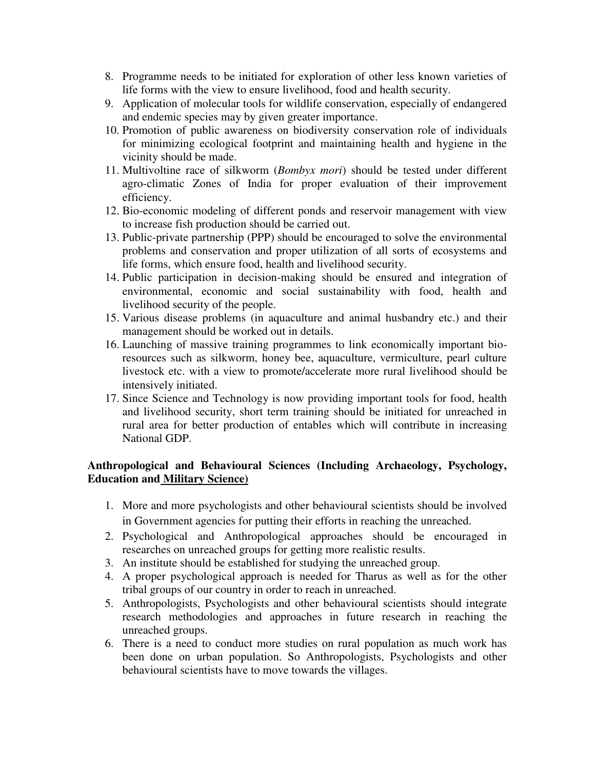- 8. Programme needs to be initiated for exploration of other less known varieties of life forms with the view to ensure livelihood, food and health security.
- 9. Application of molecular tools for wildlife conservation, especially of endangered and endemic species may by given greater importance.
- 10. Promotion of public awareness on biodiversity conservation role of individuals for minimizing ecological footprint and maintaining health and hygiene in the vicinity should be made.
- 11. Multivoltine race of silkworm (*Bombyx mori*) should be tested under different agro-climatic Zones of India for proper evaluation of their improvement efficiency.
- 12. Bio-economic modeling of different ponds and reservoir management with view to increase fish production should be carried out.
- 13. Public-private partnership (PPP) should be encouraged to solve the environmental problems and conservation and proper utilization of all sorts of ecosystems and life forms, which ensure food, health and livelihood security.
- 14. Public participation in decision-making should be ensured and integration of environmental, economic and social sustainability with food, health and livelihood security of the people.
- 15. Various disease problems (in aquaculture and animal husbandry etc.) and their management should be worked out in details.
- 16. Launching of massive training programmes to link economically important bioresources such as silkworm, honey bee, aquaculture, vermiculture, pearl culture livestock etc. with a view to promote/accelerate more rural livelihood should be intensively initiated.
- 17. Since Science and Technology is now providing important tools for food, health and livelihood security, short term training should be initiated for unreached in rural area for better production of entables which will contribute in increasing National GDP.

## **Anthropological and Behavioural Sciences (Including Archaeology, Psychology, Education and Military Science)**

- 1. More and more psychologists and other behavioural scientists should be involved in Government agencies for putting their efforts in reaching the unreached.
- 2. Psychological and Anthropological approaches should be encouraged in researches on unreached groups for getting more realistic results.
- 3. An institute should be established for studying the unreached group.
- 4. A proper psychological approach is needed for Tharus as well as for the other tribal groups of our country in order to reach in unreached.
- 5. Anthropologists, Psychologists and other behavioural scientists should integrate research methodologies and approaches in future research in reaching the unreached groups.
- 6. There is a need to conduct more studies on rural population as much work has been done on urban population. So Anthropologists, Psychologists and other behavioural scientists have to move towards the villages.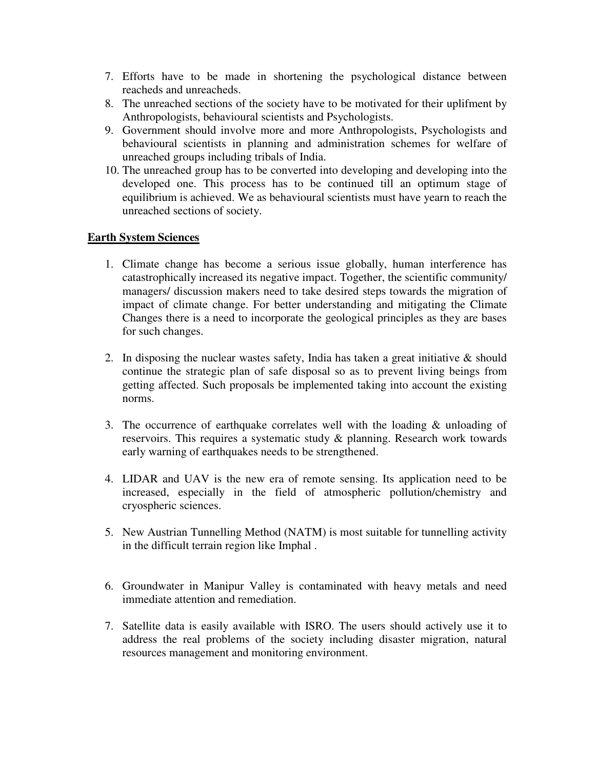- 7. Efforts have to be made in shortening the psychological distance between reacheds and unreacheds.
- 8. The unreached sections of the society have to be motivated for their uplifment by Anthropologists, behavioural scientists and Psychologists.
- 9. Government should involve more and more Anthropologists, Psychologists and behavioural scientists in planning and administration schemes for welfare of unreached groups including tribals of India.
- 10. The unreached group has to be converted into developing and developing into the developed one. This process has to be continued till an optimum stage of equilibrium is achieved. We as behavioural scientists must have yearn to reach the unreached sections of society.

### **Earth System Sciences**

- 1. Climate change has become a serious issue globally, human interference has catastrophically increased its negative impact. Together, the scientific community/ managers/ discussion makers need to take desired steps towards the migration of impact of climate change. For better understanding and mitigating the Climate Changes there is a need to incorporate the geological principles as they are bases for such changes.
- 2. In disposing the nuclear wastes safety, India has taken a great initiative  $\&$  should continue the strategic plan of safe disposal so as to prevent living beings from getting affected. Such proposals be implemented taking into account the existing norms.
- 3. The occurrence of earthquake correlates well with the loading & unloading of reservoirs. This requires a systematic study & planning. Research work towards early warning of earthquakes needs to be strengthened.
- 4. LIDAR and UAV is the new era of remote sensing. Its application need to be increased, especially in the field of atmospheric pollution/chemistry and cryospheric sciences.
- 5. New Austrian Tunnelling Method (NATM) is most suitable for tunnelling activity in the difficult terrain region like Imphal .
- 6. Groundwater in Manipur Valley is contaminated with heavy metals and need immediate attention and remediation.
- 7. Satellite data is easily available with ISRO. The users should actively use it to address the real problems of the society including disaster migration, natural resources management and monitoring environment.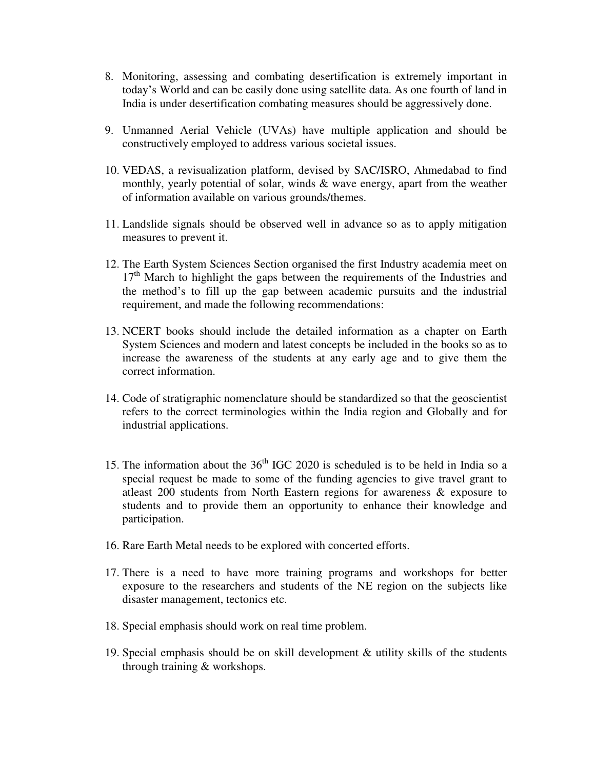- 8. Monitoring, assessing and combating desertification is extremely important in today's World and can be easily done using satellite data. As one fourth of land in India is under desertification combating measures should be aggressively done.
- 9. Unmanned Aerial Vehicle (UVAs) have multiple application and should be constructively employed to address various societal issues.
- 10. VEDAS, a revisualization platform, devised by SAC/ISRO, Ahmedabad to find monthly, yearly potential of solar, winds & wave energy, apart from the weather of information available on various grounds/themes.
- 11. Landslide signals should be observed well in advance so as to apply mitigation measures to prevent it.
- 12. The Earth System Sciences Section organised the first Industry academia meet on  $17<sup>th</sup>$  March to highlight the gaps between the requirements of the Industries and the method's to fill up the gap between academic pursuits and the industrial requirement, and made the following recommendations:
- 13. NCERT books should include the detailed information as a chapter on Earth System Sciences and modern and latest concepts be included in the books so as to increase the awareness of the students at any early age and to give them the correct information.
- 14. Code of stratigraphic nomenclature should be standardized so that the geoscientist refers to the correct terminologies within the India region and Globally and for industrial applications.
- 15. The information about the  $36<sup>th</sup>$  IGC 2020 is scheduled is to be held in India so a special request be made to some of the funding agencies to give travel grant to atleast 200 students from North Eastern regions for awareness & exposure to students and to provide them an opportunity to enhance their knowledge and participation.
- 16. Rare Earth Metal needs to be explored with concerted efforts.
- 17. There is a need to have more training programs and workshops for better exposure to the researchers and students of the NE region on the subjects like disaster management, tectonics etc.
- 18. Special emphasis should work on real time problem.
- 19. Special emphasis should be on skill development & utility skills of the students through training & workshops.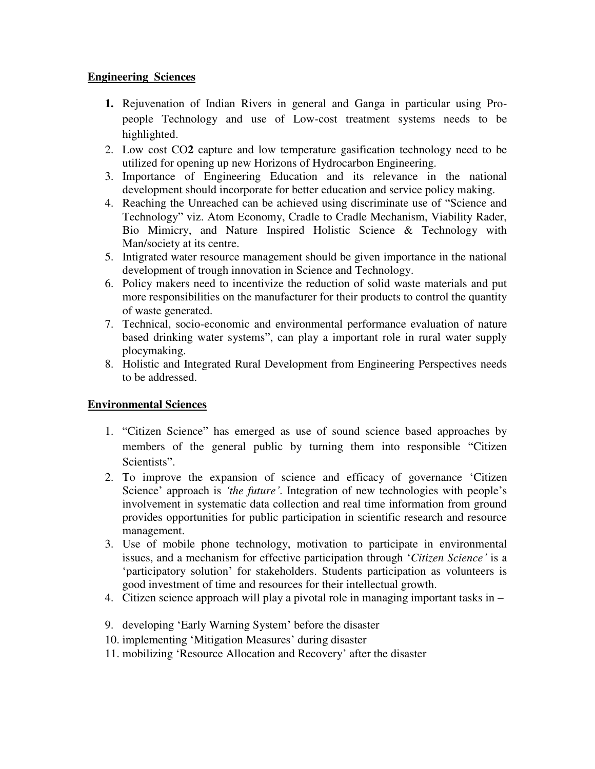## **Engineering Sciences**

- **1.** Rejuvenation of Indian Rivers in general and Ganga in particular using Propeople Technology and use of Low-cost treatment systems needs to be highlighted.
- 2. Low cost CO**2** capture and low temperature gasification technology need to be utilized for opening up new Horizons of Hydrocarbon Engineering.
- 3. Importance of Engineering Education and its relevance in the national development should incorporate for better education and service policy making.
- 4. Reaching the Unreached can be achieved using discriminate use of "Science and Technology" viz. Atom Economy, Cradle to Cradle Mechanism, Viability Rader, Bio Mimicry, and Nature Inspired Holistic Science & Technology with Man/society at its centre.
- 5. Intigrated water resource management should be given importance in the national development of trough innovation in Science and Technology.
- 6. Policy makers need to incentivize the reduction of solid waste materials and put more responsibilities on the manufacturer for their products to control the quantity of waste generated.
- 7. Technical, socio-economic and environmental performance evaluation of nature based drinking water systems", can play a important role in rural water supply plocymaking.
- 8. Holistic and Integrated Rural Development from Engineering Perspectives needs to be addressed.

## **Environmental Sciences**

- 1. "Citizen Science" has emerged as use of sound science based approaches by members of the general public by turning them into responsible "Citizen Scientists".
- 2. To improve the expansion of science and efficacy of governance 'Citizen Science' approach is *'the future'*. Integration of new technologies with people's involvement in systematic data collection and real time information from ground provides opportunities for public participation in scientific research and resource management.
- 3. Use of mobile phone technology, motivation to participate in environmental issues, and a mechanism for effective participation through '*Citizen Science'* is a 'participatory solution' for stakeholders. Students participation as volunteers is good investment of time and resources for their intellectual growth.
- 4. Citizen science approach will play a pivotal role in managing important tasks in –
- 9. developing 'Early Warning System' before the disaster
- 10. implementing 'Mitigation Measures' during disaster
- 11. mobilizing 'Resource Allocation and Recovery' after the disaster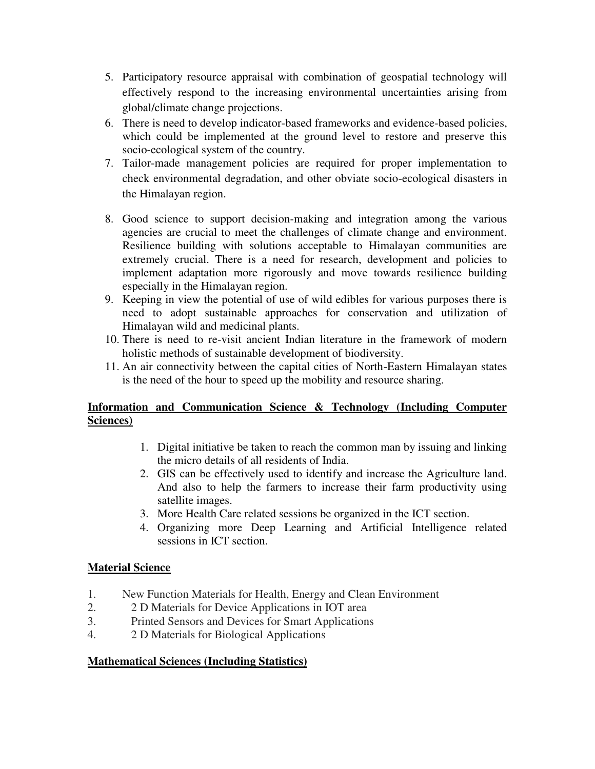- 5. Participatory resource appraisal with combination of geospatial technology will effectively respond to the increasing environmental uncertainties arising from global/climate change projections.
- 6. There is need to develop indicator-based frameworks and evidence-based policies, which could be implemented at the ground level to restore and preserve this socio-ecological system of the country.
- 7. Tailor-made management policies are required for proper implementation to check environmental degradation, and other obviate socio-ecological disasters in the Himalayan region.
- 8. Good science to support decision-making and integration among the various agencies are crucial to meet the challenges of climate change and environment. Resilience building with solutions acceptable to Himalayan communities are extremely crucial. There is a need for research, development and policies to implement adaptation more rigorously and move towards resilience building especially in the Himalayan region.
- 9. Keeping in view the potential of use of wild edibles for various purposes there is need to adopt sustainable approaches for conservation and utilization of Himalayan wild and medicinal plants.
- 10. There is need to re-visit ancient Indian literature in the framework of modern holistic methods of sustainable development of biodiversity.
- 11. An air connectivity between the capital cities of North-Eastern Himalayan states is the need of the hour to speed up the mobility and resource sharing.

## **Information and Communication Science & Technology (Including Computer Sciences)**

- 1. Digital initiative be taken to reach the common man by issuing and linking the micro details of all residents of India.
- 2. GIS can be effectively used to identify and increase the Agriculture land. And also to help the farmers to increase their farm productivity using satellite images.
- 3. More Health Care related sessions be organized in the ICT section.
- 4. Organizing more Deep Learning and Artificial Intelligence related sessions in ICT section.

# **Material Science**

- 1. New Function Materials for Health, Energy and Clean Environment
- 2. 2 D Materials for Device Applications in IOT area
- 3. Printed Sensors and Devices for Smart Applications
- 4. 2 D Materials for Biological Applications

# **Mathematical Sciences (Including Statistics)**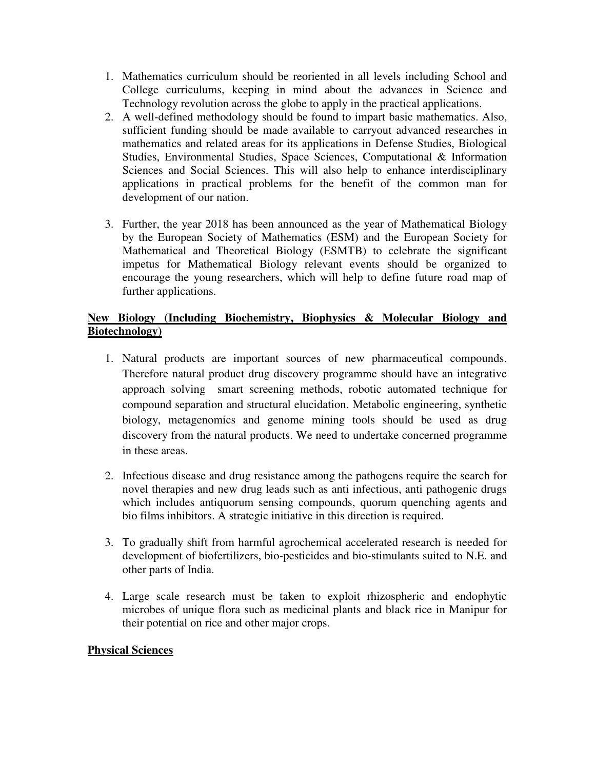- 1. Mathematics curriculum should be reoriented in all levels including School and College curriculums, keeping in mind about the advances in Science and Technology revolution across the globe to apply in the practical applications.
- 2. A well-defined methodology should be found to impart basic mathematics. Also, sufficient funding should be made available to carryout advanced researches in mathematics and related areas for its applications in Defense Studies, Biological Studies, Environmental Studies, Space Sciences, Computational & Information Sciences and Social Sciences. This will also help to enhance interdisciplinary applications in practical problems for the benefit of the common man for development of our nation.
- 3. Further, the year 2018 has been announced as the year of Mathematical Biology by the European Society of Mathematics (ESM) and the European Society for Mathematical and Theoretical Biology (ESMTB) to celebrate the significant impetus for Mathematical Biology relevant events should be organized to encourage the young researchers, which will help to define future road map of further applications.

## **New Biology (Including Biochemistry, Biophysics & Molecular Biology and Biotechnology)**

- 1. Natural products are important sources of new pharmaceutical compounds. Therefore natural product drug discovery programme should have an integrative approach solving smart screening methods, robotic automated technique for compound separation and structural elucidation. Metabolic engineering, synthetic biology, metagenomics and genome mining tools should be used as drug discovery from the natural products. We need to undertake concerned programme in these areas.
- 2. Infectious disease and drug resistance among the pathogens require the search for novel therapies and new drug leads such as anti infectious, anti pathogenic drugs which includes antiquorum sensing compounds, quorum quenching agents and bio films inhibitors. A strategic initiative in this direction is required.
- 3. To gradually shift from harmful agrochemical accelerated research is needed for development of biofertilizers, bio-pesticides and bio-stimulants suited to N.E. and other parts of India.
- 4. Large scale research must be taken to exploit rhizospheric and endophytic microbes of unique flora such as medicinal plants and black rice in Manipur for their potential on rice and other major crops.

## **Physical Sciences**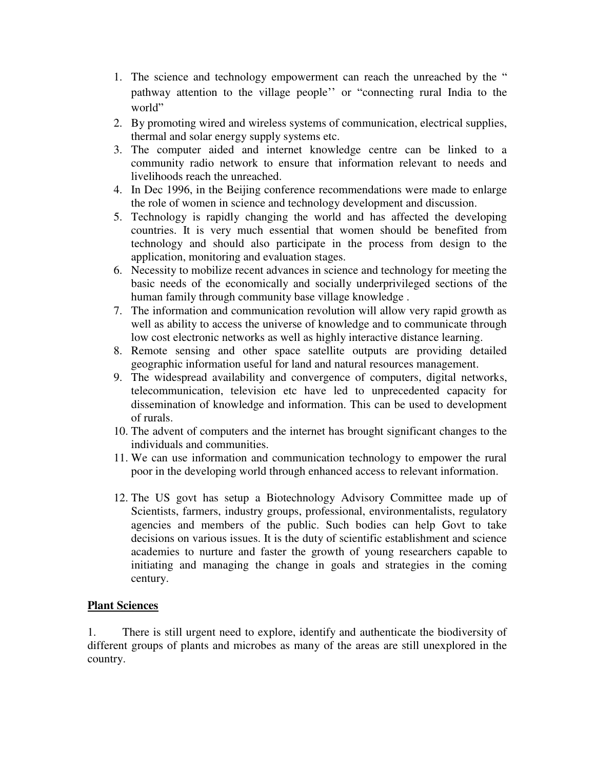- 1. The science and technology empowerment can reach the unreached by the " pathway attention to the village people'' or "connecting rural India to the world"
- 2. By promoting wired and wireless systems of communication, electrical supplies, thermal and solar energy supply systems etc.
- 3. The computer aided and internet knowledge centre can be linked to a community radio network to ensure that information relevant to needs and livelihoods reach the unreached.
- 4. In Dec 1996, in the Beijing conference recommendations were made to enlarge the role of women in science and technology development and discussion.
- 5. Technology is rapidly changing the world and has affected the developing countries. It is very much essential that women should be benefited from technology and should also participate in the process from design to the application, monitoring and evaluation stages.
- 6. Necessity to mobilize recent advances in science and technology for meeting the basic needs of the economically and socially underprivileged sections of the human family through community base village knowledge .
- 7. The information and communication revolution will allow very rapid growth as well as ability to access the universe of knowledge and to communicate through low cost electronic networks as well as highly interactive distance learning.
- 8. Remote sensing and other space satellite outputs are providing detailed geographic information useful for land and natural resources management.
- 9. The widespread availability and convergence of computers, digital networks, telecommunication, television etc have led to unprecedented capacity for dissemination of knowledge and information. This can be used to development of rurals.
- 10. The advent of computers and the internet has brought significant changes to the individuals and communities.
- 11. We can use information and communication technology to empower the rural poor in the developing world through enhanced access to relevant information.
- 12. The US govt has setup a Biotechnology Advisory Committee made up of Scientists, farmers, industry groups, professional, environmentalists, regulatory agencies and members of the public. Such bodies can help Govt to take decisions on various issues. It is the duty of scientific establishment and science academies to nurture and faster the growth of young researchers capable to initiating and managing the change in goals and strategies in the coming century.

### **Plant Sciences**

1. There is still urgent need to explore, identify and authenticate the biodiversity of different groups of plants and microbes as many of the areas are still unexplored in the country.